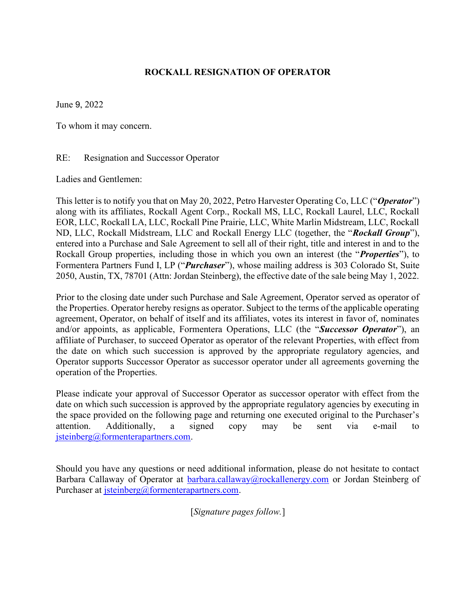## ROCKALL RESIGNATION OF OPERATOR

June 9, 2022

To whom it may concern.

## RE: Resignation and Successor Operator

Ladies and Gentlemen:

This letter is to notify you that on May 20, 2022, Petro Harvester Operating Co, LLC ("Operator") along with its affiliates, Rockall Agent Corp., Rockall MS, LLC, Rockall Laurel, LLC, Rockall EOR, LLC, Rockall LA, LLC, Rockall Pine Prairie, LLC, White Marlin Midstream, LLC, Rockall ND, LLC, Rockall Midstream, LLC and Rockall Energy LLC (together, the "Rockall Group"), entered into a Purchase and Sale Agreement to sell all of their right, title and interest in and to the Rockall Group properties, including those in which you own an interest (the "*Properties*"), to Formentera Partners Fund I, LP ("*Purchaser*"), whose mailing address is 303 Colorado St, Suite 2050, Austin, TX, 78701 (Attn: Jordan Steinberg), the effective date of the sale being May 1, 2022.

Prior to the closing date under such Purchase and Sale Agreement, Operator served as operator of the Properties. Operator hereby resigns as operator. Subject to the terms of the applicable operating agreement, Operator, on behalf of itself and its affiliates, votes its interest in favor of, nominates and/or appoints, as applicable, Formentera Operations, LLC (the "Successor Operator"), an affiliate of Purchaser, to succeed Operator as operator of the relevant Properties, with effect from the date on which such succession is approved by the appropriate regulatory agencies, and Operator supports Successor Operator as successor operator under all agreements governing the operation of the Properties.

Please indicate your approval of Successor Operator as successor operator with effect from the date on which such succession is approved by the appropriate regulatory agencies by executing in the space provided on the following page and returning one executed original to the Purchaser's attention. Additionally, a signed copy may be sent via e-mail to jsteinberg@formenterapartners.com.

Should you have any questions or need additional information, please do not hesitate to contact Barbara Callaway of Operator at barbara.callaway@rockallenergy.com or Jordan Steinberg of Purchaser at *jsteinberg@formenterapartners.com.* 

[Signature pages follow.]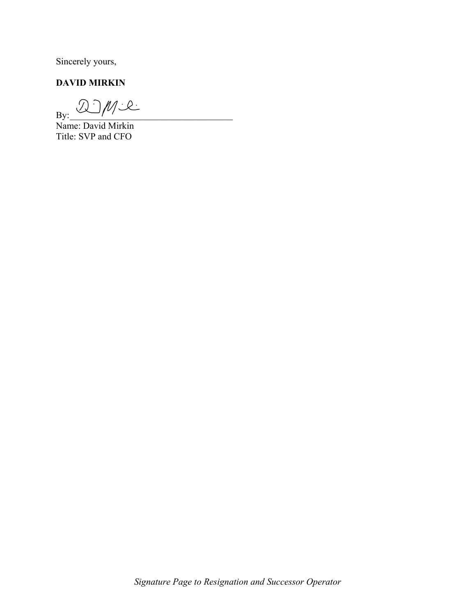Sincerely yours,

## DAVID MIRKIN

 $By: \frac{\partial y}{\partial y}$ 

Name: David Mirkin Title: SVP and CFO